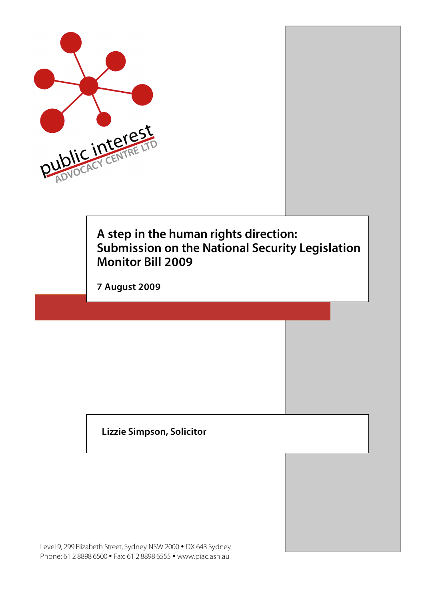

## **A step in the human rights direction: Submission on the National Security Legislation Monitor Bill 2009**

**7 August 2009**

## **Lizzie Simpson, Solicitor**

Level 9, 299 Elizabeth Street, Sydney NSW 2000 • DX 643 Sydney Phone: 61 2 8898 6500 • Fax: 61 2 8898 6555 • www.piac.asn.au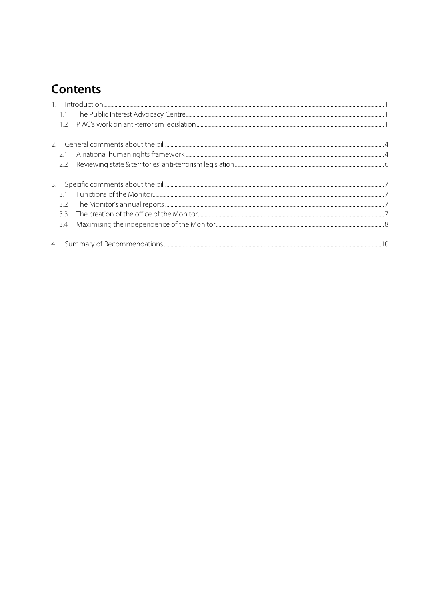## **Contents**

| 2.2 |  |
|-----|--|
|     |  |
|     |  |
| 3.2 |  |
|     |  |
| 3.4 |  |
|     |  |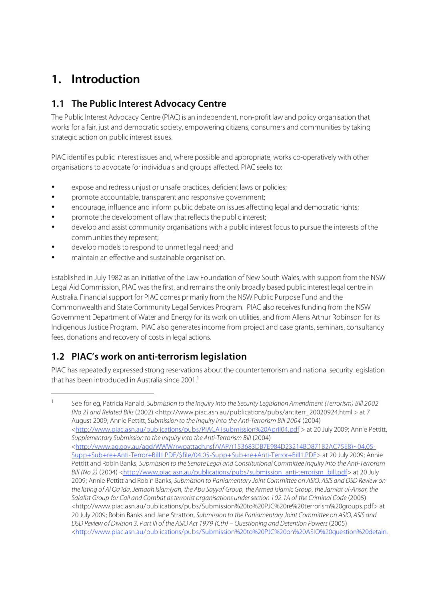## **1. Introduction**

### **1.1 The Public Interest Advocacy Centre**

The Public Interest Advocacy Centre (PIAC) is an independent, non-profit law and policy organisation that works for a fair, just and democratic society, empowering citizens, consumers and communities by taking strategic action on public interest issues.

PIAC identifies public interest issues and, where possible and appropriate, works co-operatively with other organisations to advocate for individuals and groups affected. PIAC seeks to:

- expose and redress unjust or unsafe practices, deficient laws or policies;
- promote accountable, transparent and responsive government;
- encourage, influence and inform public debate on issues affecting legal and democratic rights;
- promote the development of law that reflects the public interest;
- develop and assist community organisations with a public interest focus to pursue the interests of the communities they represent;
- develop models to respond to unmet legal need; and
- maintain an effective and sustainable organisation.

Established in July 1982 as an initiative of the Law Foundation of New South Wales, with support from the NSW Legal Aid Commission, PIAC was the first, and remains the only broadly based public interest legal centre in Australia. Financial support for PIAC comes primarily from the NSW Public Purpose Fund and the Commonwealth and State Community Legal Services Program. PIAC also receives funding from the NSW Government Department of Water and Energy for its work on utilities, and from Allens Arthur Robinson for its Indigenous Justice Program. PIAC also generatesincome from project and case grants, seminars, consultancy fees, donations and recovery of costs in legal actions.

## **1.2 PIAC's work on anti-terrorism legislation**

PIAC has repeatedly expressed strong reservations about the counter terrorism and national security legislation that has been introduced in Australia since 2001. 1

<sup>&</sup>lt;sup>1</sup> See for eg, Patricia Ranald, Submission to the Inquiry into the Security Legislation Amendment (Terrorism) Bill 2002 [No 2] and Related Bills (2002) <http://www.piac.asn.au/publications/pubs/antiterr\_20020924.html > at 7 August 2009; Annie Pettitt, Submission to the Inquiry into the Anti-Terrorism Bill 2004 (2004) <http://www.piac.asn.au/publications/pubs/PIACATsubmission%20April04.pdf > at 20 July 2009; Annie Pettitt, Supplementary Submission to the Inquiry into the Anti-Terrorism Bill (2004) <http://www.ag.gov.au/agd/WWW/rwpattach.nsf/VAP/(153683DB7E984D23214BD871B2AC75E8)~04.05- Supp+Sub+re+Anti-Terror+Bill1.PDF/\$file/04.05-Supp+Sub+re+Anti-Terror+Bill1.PDF> at 20 July 2009; Annie Pettitt and Robin Banks, Submission to the Senate Legal and Constitutional Committee Inquiry into the Anti-Terrorism Bill (No 2) (2004) <http://www.piac.asn.au/publications/pubs/submission\_anti-terrorism\_bill.pdf> at 20 July 2009; Annie Pettitt and Robin Banks, Submission to Parliamentary Joint Committee on ASIO, ASIS and DSD Review on the listing of Al Qa'ida, Jemaah Islamiyah, the Abu Sayyaf Group, the Armed Islamic Group, the Jamiat ul-Ansar, the Salafist Group for Call and Combat as terrorist organisations under section 102.1A of the Criminal Code (2005) <http://www.piac.asn.au/publications/pubs/Submission%20to%20PJC%20re%20terrorism%20groups.pdf> at 20 July 2009; Robin Banks and Jane Stratton, Submission to the Parliamentary Joint Committee on ASIO, ASIS and DSD Review of Division 3, Part III of the ASIOAct 1979 (Cth) – Questioning and Detention Powers (2005) <http://www.piac.asn.au/publications/pubs/Submission%20to%20PJC%20on%20ASIO%20question%20detain.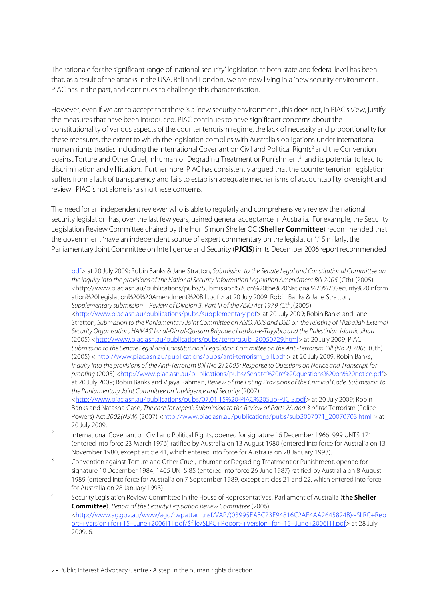The rationale for the significant range of 'national security' legislation at both state and federal level has been that, as a result of the attacks in the USA, Bali and London, we are now living in a 'new security environment'. PIAC has in the past, and continues to challenge this characterisation.

However, even if we are to accept that there is a 'new security environment', this does not, in PIAC's view, justify the measuresthat have been introduced. PIAC continuesto have significant concerns about the constitutionality of various aspects of the counter terrorism regime, the lack of necessity and proportionality for these measures, the extent to which the legislation complies with Australia's obligations under international human rights treaties including the International Covenant on Civil and Political Rights<sup>2</sup> and the Convention against Torture and Other Cruel, Inhuman or Degrading Treatment or Punishment<sup>3</sup>, and its potential to lead to discrimination and vilification. Furthermore, PIAC has consistently argued that the counter terrorism legislation suffers from a lack of transparency and fails to establish adequate mechanisms of accountability, oversight and review. PIAC is not alone is raising these concerns.

The need for an independent reviewer who is able to regularly and comprehensively review the national security legislation has, over the last few years, gained general acceptance in Australia. For example, the Security Legislation Review Committee chaired by the Hon Simon Sheller QC (**Sheller Committee**) recommended that the government 'have an independent source of expert commentary on the legislation'. <sup>4</sup> Similarly, the Parliamentary Joint Committee on Intelligence and Security (**PJCIS**) in its December 2006 report recommended

pdf> at 20 July 2009; Robin Banks & Jane Stratton, Submission to the Senate Legal and Constitutional Committee on the inquiry into the provisions of the National Security Information Legislation Amendment Bill 2005 (Cth) (2005) <http://www.piac.asn.au/publications/pubs/Submission%20on%20the%20National%20%20Security%20Inform ation%20Legislation%20%20Amendment%20Bill.pdf > at 20 July 2009; Robin Banks & Jane Stratton, Supplementary submission - Review of Division 3, Part III of the ASIO Act 1979 (Cth)(2005) <http://www.piac.asn.au/publications/pubs/supplementary.pdf> at 20 July 2009; Robin Banks and Jane Stratton, Submission to the Parliamentary Joint Committee on ASIO, ASIS and DSD on the relisting of Hizballah External Security Organisation, HAMAS' Izz al-Din al-Qassam Brigades; Lashkar-e-Tayyiba; and the Palestinian Islamic Jihad (2005) <http://www.piac.asn.au/publications/pubs/terrorgsub\_20050729.html> at 20 July 2009; PIAC, Submission to the Senate Legal and Constitutional Legislation Committee on the Anti-Terrorism Bill (No 2) 2005 (Cth) (2005) < http://www.piac.asn.au/publications/pubs/anti-terrorism\_bill.pdf > at 20 July 2009; Robin Banks, Inquiry into the provisions of the Anti-Terrorism Bill (No 2) 2005: Response to Questions on Notice and Transcript for proofing (2005) <http://www.piac.asn.au/publications/pubs/Senate%20re%20questions%20on%20notice.pdf> at 20 July 2009; Robin Banks and Vijaya Rahman, Review of the Listing Provisions of the Criminal Code, Submission to the Parliamentary Joint Committee on Intelligence and Security (2007) <http://www.piac.asn.au/publications/pubs/07.01.15%20-PIAC%20Sub-PJCIS.pdf> at 20 July 2009; Robin Banks and Natasha Case, The case for repeal: Submission to the Review of Parts 2A and 3 of the Terrorism (Police Powers) Act 2002(NSW) (2007) <http://www.piac.asn.au/publications/pubs/sub2007071\_20070703.html > at 20 July 2009.

- <sup>2</sup> International Covenant on Civil and Political Rights, opened for signature 16 December 1966, 999 UNTS 171 (entered into force 23 March 1976) ratified by Australia on 13 August 1980 (entered into force for Australia on 13 November 1980, except article 41, which entered into force for Australia on 28 January 1993).
- <sup>3</sup> Convention against Torture and Other Cruel, Inhuman or Degrading Treatment or Punishment, opened for signature 10 December 1984, 1465 UNTS 85 (entered into force 26 June 1987) ratified by Australia on 8 August 1989 (entered into force for Australia on 7 September 1989, except articles 21 and 22, which entered into force for Australia on 28 January 1993).
- <sup>4</sup> Security Legislation Review Committee in the House of Representatives, Parliament of Australia (**the Sheller Committee**), Report of the Security Legislation Review Committee (2006) <http://www.ag.gov.au/www/agd/rwpattach.nsf/VAP/(03995EABC73F94816C2AF4AA2645824B)~SLRC+Rep ort-+Version+for+15+June+2006[1].pdf/\$file/SLRC+Report-+Version+for+15+June+2006[1].pdf> at 28 July 2009, 6.

 $\overline{a}$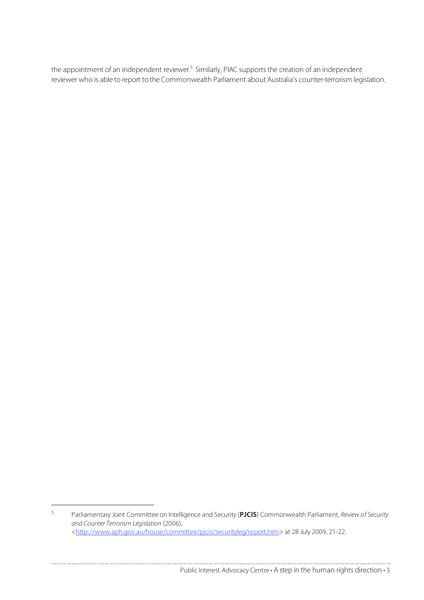the appointment of an independent reviewer.<sup>5</sup> Similarly, PIAC supports the creation of an independent reviewer who is able to report to the Commonwealth Parliament about Australia's counter-terrorism legislation.

#### Public Interest Advocacy Centre • A step in the human rights direction • 3

 <sup>5</sup> Parliamentary Joint Committee on Intelligence and Security (**PJCIS**) Commonwealth Parliament, Review of Security and Counter Terrorism Legislation (2006), <http://www.aph.gov.au/house/committee/pjcis/securityleg/report.htm> at 28 July 2009, 21-22.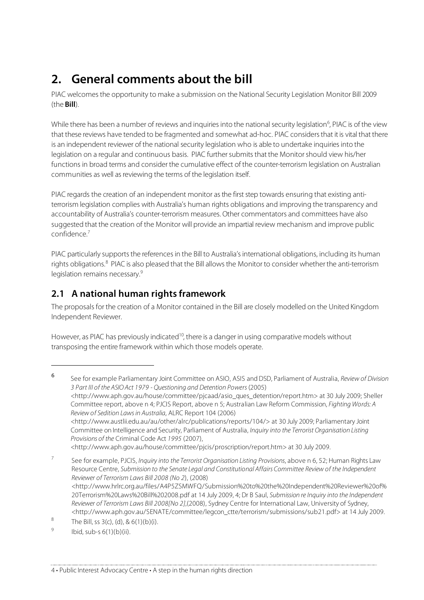# **2. General comments about the bill**

PIAC welcomesthe opportunity to make a submission on the National Security Legislation Monitor Bill 2009 (the **Bill**).

While there has been a number of reviews and inquiries into the national security legislation<sup>6</sup>, PIAC is of the view that these reviews have tended to be fragmented and somewhat ad-hoc. PIAC considersthat it is vital that there is an independent reviewer of the national security legislation who is able to undertake inquiries into the legislation on a regular and continuous basis. PIAC furthersubmitsthat the Monitorshould view his/her functions in broad terms and consider the cumulative effect of the counter-terrorism legislation on Australian communities as well as reviewing the terms of the legislation itself.

PIAC regards the creation of an independent monitor as the first step towards ensuring that existing antiterrorism legislation complies with Australia's human rights obligations and improving the transparency and accountability of Australia's counter-terrorism measures. Other commentators and committees have also suggested that the creation of the Monitor will provide an impartial review mechanism and improve public confidence. 7

PIAC particularly supports the references in the Bill to Australia's international obligations, including its human rights obligations.<sup>8</sup> PIAC is also pleased that the Bill allows the Monitor to consider whether the anti-terrorism legislation remains necessary.<sup>9</sup>

## **2.1 A national human rights framework**

The proposals for the creation of a Monitor contained in the Bill are closely modelled on the United Kingdom Independent Reviewer.

However, as PIAC has previously indicated<sup>10</sup>, there is a danger in using comparative models without transposing the entire framework within which those models operate.

 $\overline{a}$ 

<sup>6</sup> See for example Parliamentary Joint Committee on ASIO, ASIS and DSD, Parliament of Australia, Review of Division 3 Part III of the ASIOAct 1979 - Questioning and Detention Powers (2005) <http://www.aph.gov.au/house/committee/pjcaad/asio\_ques\_detention/report.htm> at 30 July 2009; Sheller Committee report, above n 4; PJCIS Report, above n 5; Australian Law Reform Commission, Fighting Words: A Review of Sedition Lawsin Australia, ALRC Report 104 (2006) <http://www.austlii.edu.au/au/other/alrc/publications/reports/104/> at 30 July 2009; Parliamentary Joint Committee on Intelligence and Security, Parliament of Australia, Inquiry into the Terrorist Organisation Listing Provisions of the Criminal Code Act 1995 (2007), <http://www.aph.gov.au/house/committee/pjcis/proscription/report.htm> at 30 July 2009.

<sup>&</sup>lt;sup>7</sup> See for example, PJCIS, *Inquiry into the Terrorist Organisation Listing Provisions*, above n 6, 52; Human Rights Law Resource Centre, Submission to the Senate Legal and Constitutional Affairs Committee Review of the Independent Reviewer of Terrorism Laws Bill 2008 (No 2), (2008) <http://www.hrlrc.org.au/files/A4P5ZSMWFQ/Submission%20to%20the%20Independent%20Reviewer%20of% 20Terrorism%20Laws%20Bill%202008.pdf at 14 July 2009, 4; Dr B Saul, Submission re Inquiry into the Independent Reviewer of Terrorism Laws Bill 2008[No 2],(2008), Sydney Centre for International Law, University of Sydney, <http://www.aph.gov.au/SENATE/committee/legcon\_ctte/terrorism/submissions/sub21.pdf> at 14 July 2009.

<sup>&</sup>lt;sup>8</sup> The Bill, ss 3(c), (d), & 6(1)(b)(i).

 $9$  Ibid, sub-s  $6(1)(b)(ii)$ .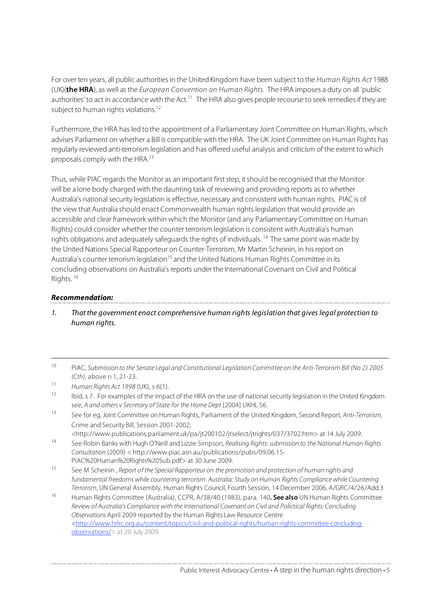For over ten years, all public authorities in the United Kingdom have been subject to the Human Rights Act 1988 (UK)(**the HRA**), as well asthe European Convention on Human Rights. The HRA imposes a duty on all 'public authorities' to act in accordance with the Act.<sup>11</sup> The HRA also gives people recourse to seek remedies if they are subject to human rights violations.<sup>12</sup>

Furthermore, the HRA has led to the appointment of a Parliamentary Joint Committee on Human Rights, which advises Parliament on whether a Bill is compatible with the HRA. The UK Joint Committee on Human Rights has regularly reviewed anti-terrorism legislation and has offered useful analysis and criticism of the extent to which proposals comply with the HRA.<sup>13</sup>

Thus, while PIAC regards the Monitor as an important first step, it should be recognised that the Monitor will be a lone body charged with the daunting task of reviewing and providing reports asto whether Australia's national security legislation is effective, necessary and consistent with human rights. PIAC is of the view that Australia should enact Commonwealth human rights legislation that would provide an accessible and clear framework within which the Monitor (and any Parliamentary Committee on Human Rights) could consider whether the counter terrorism legislation is consistent with Australia's human rights obligations and adequately safeguards the rights of individuals. <sup>14</sup> The same point was made by the United Nations Special Rapporteur on Counter-Terrorism, Mr Martin Scheinin, in hisreport on Australia's counter terrorism legislation<sup>15</sup> and the United Nations Human Rights Committee in its concluding observations on Australia's reports under the International Covenant on Civil and Political Rights. 16

#### **Recommendation:**

- 1. That the government enact comprehensive human rights legislation that gives legal protection to human rights.
- 10 PIAC, Submission to the Senate Legal and Constitutional Legislation Committee on the Anti-Terrorism Bill (No 2) <sup>2005</sup> (Cth), above n 1, 21-23.
- 11 Human Rights Act 1998 (UK), s 6(1).

- <sup>13</sup> See for eg, Joint Committee on Human Rights, Parliament of the United Kingdom, Second Report, Anti-Terrorism, Crime and Security Bill, Session 2001-2002,
	- <http://www.publications.parliament.uk/pa/jt200102/jtselect/jtrights/037/3702.htm> at 14 July 2009.
- <sup>14</sup> See Robin Banks with Hugh O'Neill and Lizzie Simpson, *Realising Rights: submission to the National Human Rights* Consultation (2009) < http://www.piac.asn.au/publications/pubs/09.06.15-
- PIAC%20Human%20Rights%20Sub.pdf> at 30 June 2009.
- <sup>15</sup> See M Scheinin , Report of the Special Rapporteur on the promotion and protection of human rights and fundamental freedoms while countering terrorism. Australia: Study on Human Rights Compliance while Countering Terrorism, UN General Assembly, Human Rights Council, Fourth Session, 14 December 2006, A/GRC/4/26/Add.3
- <sup>16</sup> Human Rights Committee (Australia), CCPR, A/38/40 (1983), para. 140**. See also** UN Human Rights Committee Review of Australia's Compliance with the International Covenant on Civil and Polictical Rights: Concluding Observations April 2009 reported by the Human Rights Law Resource Centre <http://www.hrlrc.org.au/content/topics/civil-and-political-rights/human-rights-committee-concludingobservations/ > at 20 July 2009.

<sup>12</sup> Ibid, s 7. For examples of the impact of the HRA on the use of national security legislation in the United Kingdom see, A and others v Secretary of State for the Home Dept [2004] UKHL 56.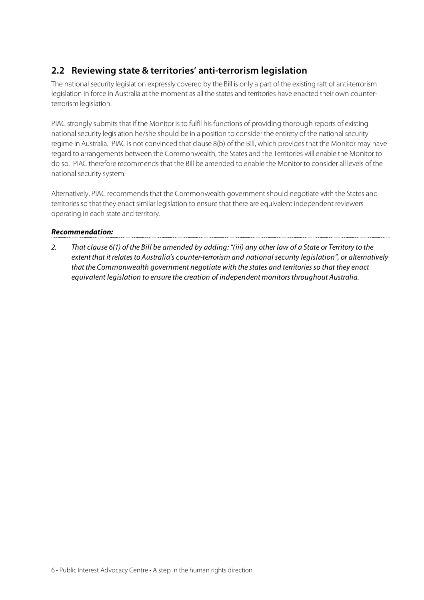## **2.2 Reviewing state & territories' anti-terrorism legislation**

The national security legislation expressly covered by the Bill is only a part of the existing raft of anti-terrorism legislation in force in Australia at the moment as all the states and territories have enacted their own counterterrorism legislation.

PIAC strongly submits that if the Monitor is to fulfil his functions of providing thorough reports of existing national security legislation he/she should be in a position to consider the entirety of the national security regime in Australia. PIAC is not convinced that clause 8(b) of the Bill, which provides that the Monitor may have regard to arrangements between the Commonwealth, the States and the Territories will enable the Monitor to do so. PIAC therefore recommends that the Bill be amended to enable the Monitor to consider all levels of the national security system.

Alternatively, PIAC recommends that the Commonwealth governmentshould negotiate with the States and territories so that they enact similar legislation to ensure that there are equivalent independent reviewers operating in each state and territory.

#### **Recommendation:**

2. That clause 6(1) of the Bill be amended by adding: "(iii) any other law of a State or Territory to the extent that it relates to Australia's counter-terrorism and national security legislation", or alternatively that the Commonwealth government negotiate with the states and territories so that they enact equivalent legislation to ensure the creation of independent monitorsthroughout Australia.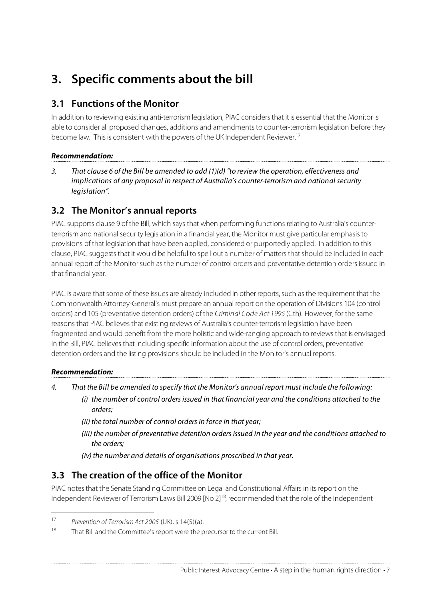## **3. Specific comments about the bill**

### **3.1 Functions of the Monitor**

In addition to reviewing existing anti-terrorism legislation, PIAC considers that it is essential that the Monitor is able to consider all proposed changes, additions and amendments to counter-terrorism legislation before they become law. This is consistent with the powers of the UK Independent Reviewer.<sup>17</sup>

#### **Recommendation:**

3. That clause 6 of the Bill be amended to add (1)(d) "to review the operation, effectiveness and implications of any proposal in respect of Australia's counter-terrorism and national security legislation".

### **3.2 The Monitor's annual reports**

PIAC supports clause 9 of the Bill, which says that when performing functions relating to Australia's counterterrorism and national security legislation in a financial year, the Monitor must give particular emphasisto provisions of that legislation that have been applied, considered or purportedly applied. In addition to this clause, PIAC suggeststhat it would be helpful to spell out a number of mattersthatshould be included in each annual report of the Monitor such as the number of control orders and preventative detention orders issued in that financial year.

PIAC is aware that some of these issues are already included in other reports, such as the requirement that the Commonwealth Attorney-General's must prepare an annual report on the operation of Divisions 104 (control orders) and 105 (preventative detention orders) of the Criminal Code Act 1995 (Cth). However, for the same reasons that PIAC believes that existing reviews of Australia's counter-terrorism legislation have been fragmented and would benefit from the more holistic and wide-ranging approach to reviewsthat is envisaged in the Bill, PIAC believes that including specific information about the use of control orders, preventative detention orders and the listing provisions should be included in the Monitor's annual reports.

### **Recommendation:**

4. That the Bill be amended to specify that the Monitor's annual report must include the following:

- (i) the number of control orders issued in that financial year and the conditions attached to the orders;
- (ii) the total number of control orders in force in that year;
- (iii) the number of preventative detention orders issued in the year and the conditions attached to the orders;
- (iv) the number and details of organisations proscribed in that year.

### **3.3 The creation of the office of the Monitor**

PIAC notes that the Senate Standing Committee on Legal and Constitutional Affairs in its report on the Independent Reviewer of Terrorism Laws Bill 2009 [No 2]<sup>18</sup>, recommended that the role of the Independent

 <sup>17</sup> Prevention of Terrorism Act <sup>2005</sup> (UK), <sup>s</sup> 14(5)(a).

<sup>&</sup>lt;sup>18</sup> That Bill and the Committee's report were the precursor to the current Bill.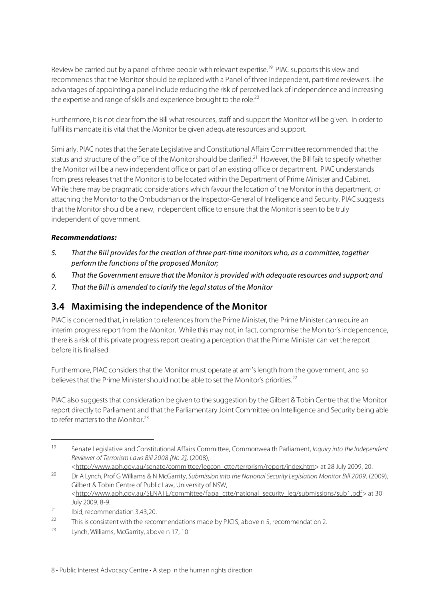Review be carried out by a panel of three people with relevant expertise.<sup>19</sup> PIAC supports this view and recommends that the Monitor should be replaced with a Panel of three independent, part-time reviewers. The advantages of appointing a panel include reducing the risk of perceived lack of independence and increasing the expertise and range of skills and experience brought to the role. 20

Furthermore, it is not clear from the Bill what resources, staff and support the Monitor will be given. In order to fulfil its mandate it is vital that the Monitor be given adequate resources and support.

Similarly, PIAC notes that the Senate Legislative and Constitutional Affairs Committee recommended that the status and structure of the office of the Monitor should be clarified.<sup>21</sup> However, the Bill fails to specify whether the Monitor will be a new independent office or part of an existing office or department. PIAC understands from press releases that the Monitor is to be located within the Department of Prime Minister and Cabinet. While there may be pragmatic considerations which favour the location of the Monitor in this department, or attaching the Monitor to the Ombudsman or the Inspector-General of Intelligence and Security, PIAC suggests that the Monitor should be a new, independent office to ensure that the Monitor isseen to be truly independent of government.

#### **Recommendations:**

- 5. That the Bill provides for the creation of three part-time monitors who, as a committee, together perform the functions of the proposed Monitor;
- 6. That the Government ensure that the Monitor is provided with adequate resources and support; and
- 7. That the Bill is amended to clarify the legal status of the Monitor

### **3.4 Maximising the independence of the Monitor**

PIAC is concerned that, in relation to references from the Prime Minister, the Prime Minister can require an interim progress report from the Monitor. While this may not, in fact, compromise the Monitor's independence, there is a risk of this private progressreport creating a perception that the Prime Minister can vet the report before it is finalised.

Furthermore, PIAC considers that the Monitor must operate at arm's length from the government, and so believes that the Prime Minister should not be able to set the Monitor's priorities.<sup>22</sup>

PIAC also suggests that consideration be given to the suggestion by the Gilbert & Tobin Centre that the Monitor report directly to Parliament and that the Parliamentary Joint Committee on Intelligence and Security being able to refer matters to the Monitor.<sup>23</sup>

<sup>&</sup>lt;sup>19</sup> Senate Legislative and Constitutional Affairs Committee, Commonwealth Parliament, *Inquiry into the Independent* Reviewer of Terrorism Laws Bill 2008 [No 2], (2008), <http://www.aph.gov.au/senate/committee/legcon\_ctte/terrorism/report/index.htm> at 28 July 2009, 20.

<sup>&</sup>lt;sup>20</sup> Dr A Lynch, Prof G Williams & N McGarrity, Submission into the National Security Legislation Monitor Bill 2009, (2009), Gilbert & Tobin Centre of Public Law, University of NSW, <http://www.aph.gov.au/SENATE/committee/fapa\_ctte/national\_security\_leg/submissions/sub1.pdf> at 30 July 2009, 8-9.

<sup>21</sup> Ibid, recommendation 3.43,20.

<sup>&</sup>lt;sup>22</sup> This is consistent with the recommendations made by PJCIS, above n 5, recommendation 2.

<sup>23</sup> Lynch, Williams, McGarrity, above n 17, 10.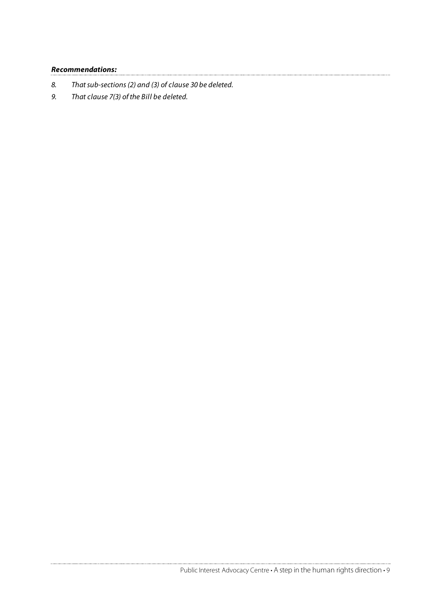### **Recommendations:**

- 8. That sub-sections (2) and (3) of clause 30 be deleted.
- 9. That clause 7(3) of the Bill be deleted.